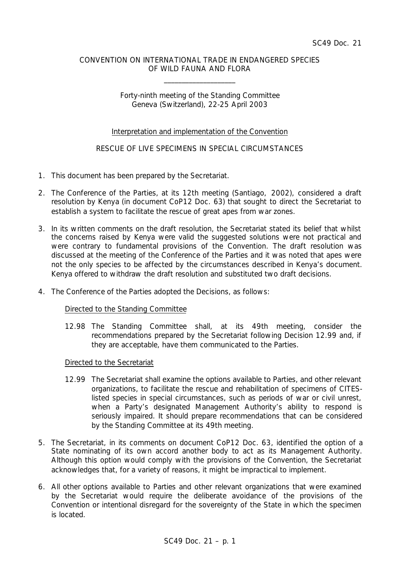### CONVENTION ON INTERNATIONAL TRADE IN ENDANGERED SPECIES OF WILD FAUNA AND FLORA

\_\_\_\_\_\_\_\_\_\_\_\_\_\_\_\_\_\_\_\_

## Forty-ninth meeting of the Standing Committee Geneva (Switzerland), 22-25 April 2003

## Interpretation and implementation of the Convention

# RESCUE OF LIVE SPECIMENS IN SPECIAL CIRCUMSTANCES

- 1. This document has been prepared by the Secretariat.
- 2. The Conference of the Parties, at its 12th meeting (Santiago, 2002), considered a draft resolution by Kenya (in document CoP12 Doc. 63) that sought to direct the Secretariat to establish a system to facilitate the rescue of great apes from war zones.
- 3. In its written comments on the draft resolution, the Secretariat stated its belief that whilst the concerns raised by Kenya were valid the suggested solutions were not practical and were contrary to fundamental provisions of the Convention. The draft resolution was discussed at the meeting of the Conference of the Parties and it was noted that apes were not the only species to be affected by the circumstances described in Kenya's document. Kenya offered to withdraw the draft resolution and substituted two draft decisions.
- 4. The Conference of the Parties adopted the Decisions, as follows:

### *Directed to the Standing Committee*

*12.98 The Standing Committee shall, at its 49th meeting, consider the recommendations prepared by the Secretariat following Decision 12.99 and, if they are acceptable, have them communicated to the Parties.*

### *Directed to the Secretariat*

- *12.99 The Secretariat shall examine the options available to Parties, and other relevant organizations, to facilitate the rescue and rehabilitation of specimens of CITESlisted species in special circumstances, such as periods of war or civil unrest, when a Party's designated Management Authority's ability to respond is seriously impaired. It should prepare recommendations that can be considered by the Standing Committee at its 49th meeting.*
- 5. The Secretariat, in its comments on document CoP12 Doc. 63, identified the option of a State nominating of its own accord another body to act as its Management Authority. Although this option would comply with the provisions of the Convention, the Secretariat acknowledges that, for a variety of reasons, it might be impractical to implement.
- 6. All other options available to Parties and other relevant organizations that were examined by the Secretariat would require the deliberate avoidance of the provisions of the Convention or intentional disregard for the sovereignty of the State in which the specimen is located.